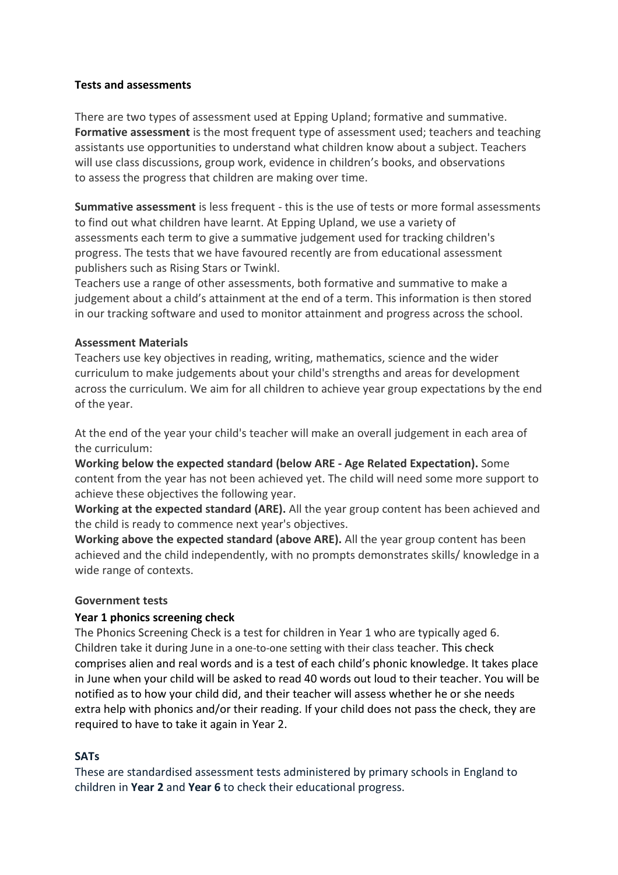### **Tests and assessments**

There are two types of assessment used at Epping Upland; formative and summative. **Formative assessment** is the most frequent type of assessment used; teachers and teaching assistants use opportunities to understand what children know about a subject. Teachers will use class discussions, group work, evidence in children's books, and observations to assess the progress that children are making over time.

**Summative assessment** is less frequent - this is the use of tests or more formal assessments to find out what children have learnt. At Epping Upland, we use a variety of assessments each term to give a summative judgement used for tracking children's progress. The tests that we have favoured recently are from educational assessment publishers such as Rising Stars or Twinkl.

Teachers use a range of other assessments, both formative and summative to make a judgement about a child's attainment at the end of a term. This information is then stored in our tracking software and used to monitor attainment and progress across the school.

### **Assessment Materials**

Teachers use key objectives in reading, writing, mathematics, science and the wider curriculum to make judgements about your child's strengths and areas for development across the curriculum. We aim for all children to achieve year group expectations by the end of the year.

At the end of the year your child's teacher will make an overall judgement in each area of the curriculum:

**Working below the expected standard (below ARE - Age Related Expectation).** Some content from the year has not been achieved yet. The child will need some more support to achieve these objectives the following year.

**Working at the expected standard (ARE).** All the year group content has been achieved and the child is ready to commence next year's objectives.

**Working above the expected standard (above ARE).** All the year group content has been achieved and the child independently, with no prompts demonstrates skills/ knowledge in a wide range of contexts.

#### **Government tests**

## **Year 1 phonics screening check**

The Phonics Screening Check is a test for children in Year 1 who are typically aged 6. Children take it during June in a one-to-one setting with their class teacher. This check comprises alien and real words and is a test of each child's phonic knowledge. It takes place in June when your child will be asked to read 40 words out loud to their teacher. You will be notified as to how your child did, and their teacher will assess whether he or she needs extra help with phonics and/or their reading. If your child does not pass the check, they are required to have to take it again in Year 2.

#### **SATs**

These are standardised assessment tests administered by primary schools in England to children in **Year 2** and **Year 6** to check their educational progress.